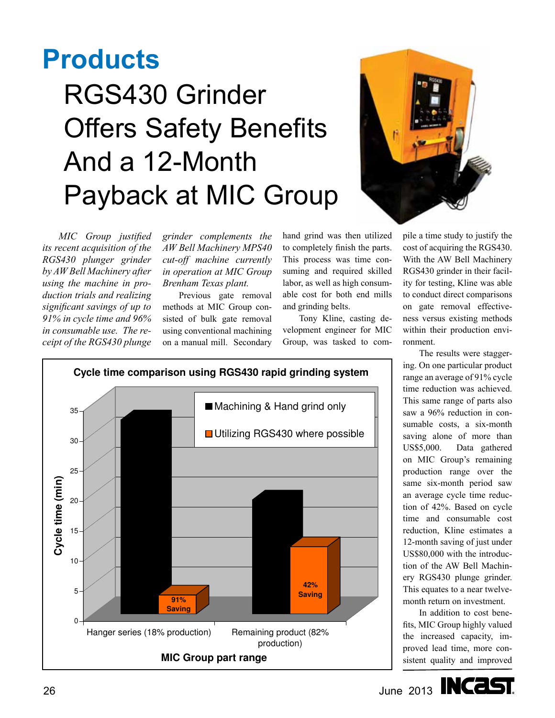## **Products**

## RGS430 Grinder Offers Safety Benefits And a 12-Month Payback at MIC Group



*MIC Group justified its recent acquisition of the RGS430 plunger grinder by AW Bell Machinery after using the machine in production trials and realizing significant savings of up to 91% in cycle time and 96% in consumable use. The receipt of the RGS430 plunge* 

*grinder complements the AW Bell Machinery MPS40 cut-off machine currently in operation at MIC Group Brenham Texas plant.*

Previous gate removal methods at MIC Group consisted of bulk gate removal using conventional machining on a manual mill. Secondary

hand grind was then utilized to completely finish the parts. This process was time consuming and required skilled labor, as well as high consumable cost for both end mills and grinding belts.

Tony Kline, casting development engineer for MIC Group, was tasked to com-

en utilized pile a time study to justify the  $\mu_{\rm{1}}$  over  $\mu_{\rm{2}}$  remaining  $\mu_{\rm{2}}$  remaining  $\mu_{\rm{2}}$  remaining  $\mu_{\rm{3}}$  remaining  $\mu_{\rm{3}}$  remaining  $\mu_{\rm{3}}$ the parts.  $\cot$  of acquiring the RGS430. time con- With the AW Bell Machinery ed skilled RGS430 grinder in their facilextra month return on the month return on the month return of the month return of the month return of the month return of the month return of the month return of the month return of the month return of the month return of to conduct direct comparisons on gate removal effectiveness versus existing methods within their production environment.

> The results were staggering. On one particular product range an average of 91% cycle time reduction was achieved. This same range of parts also saw a 96% reduction in consumable costs, a six-month saving alone of more than US\$5,000. Data gathered on MIC Group's remaining production range over the same six-month period saw an average cycle time reduction of 42%. Based on cycle time and consumable cost reduction, Kline estimates a 12-month saving of just under US\$80,000 with the introduction of the AW Bell Machinery RGS430 plunge grinder. This equates to a near twelvemonth return on investment.

In addition to cost benefits, MIC Group highly valued the increased capacity, improved lead time, more consistent quality and improved





Hanger series (18% production) Remaining product (82%

**Saving**

**MIC Group part range**

production)

**Saving 91%** 

**42%** 

 $\Omega$ 

5